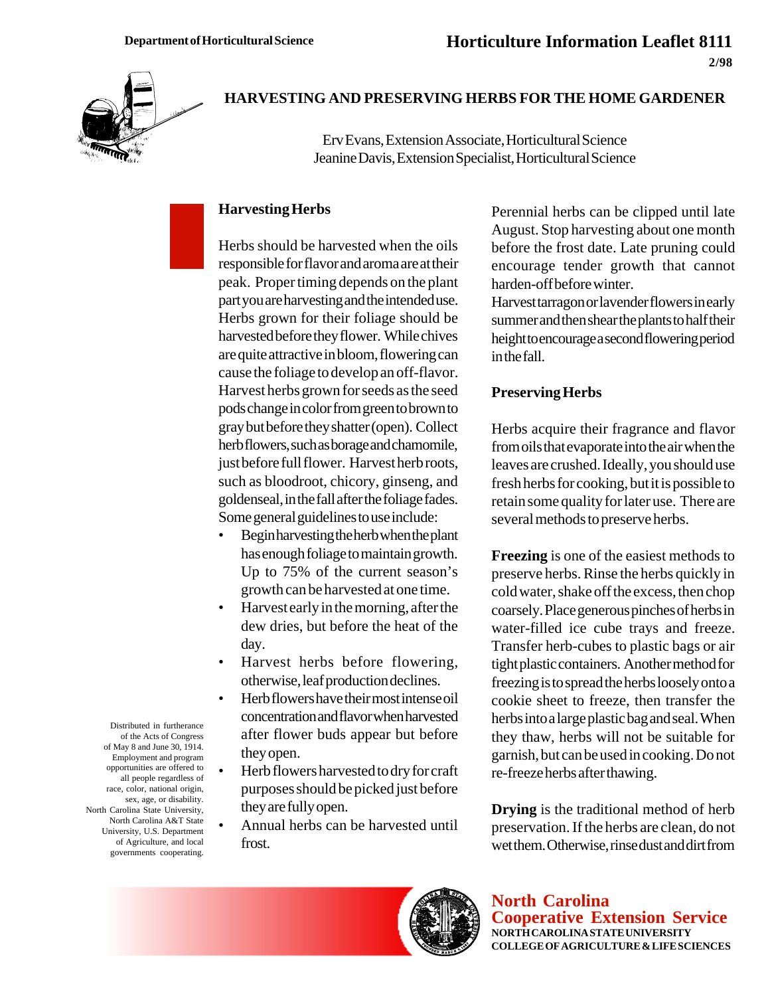

## **HARVESTING AND PRESERVING HERBS FOR THE HOME GARDENER**

Erv Evans, Extension Associate, Horticultural Science Jeanine Davis, Extension Specialist, Horticultural Science

## **Harvesting Herbs**

Herbs should be harvested when the oils responsible for flavor and aroma are at their peak. Proper timing depends on the plant part you are harvesting and the intended use. Herbs grown for their foliage should be harvested before they flower. While chives are quite attractive in bloom, flowering can cause the foliage to develop an off-flavor. Harvest herbs grown for seeds as the seed pods change in color from green to brown to gray but before they shatter (open). Collect herb flowers, such as borage and chamomile, just before full flower. Harvest herb roots, such as bloodroot, chicory, ginseng, and goldenseal, in the fall after the foliage fades. Some general guidelines to use include:

- Begin harvesting the herb when the plant has enough foliage to maintain growth. Up to 75% of the current season's growth can be harvested at one time.
- Harvest early in the morning, after the dew dries, but before the heat of the day.
- Harvest herbs before flowering, otherwise, leaf production declines.
- Herb flowers have their most intense oil concentration and flavor when harvested after flower buds appear but before they open.
- Herb flowers harvested to dry for craft purposes should be picked just before they are fully open.
- Annual herbs can be harvested until frost.

Perennial herbs can be clipped until late August. Stop harvesting about one month before the frost date. Late pruning could encourage tender growth that cannot harden-off before winter.

Harvest tarragon or lavender flowers in early summer and then shear the plants to half their height to encourage a second flowering period in the fall.

## **Preserving Herbs**

Herbs acquire their fragrance and flavor from oils that evaporate into the air when the leaves are crushed. Ideally, you should use fresh herbs for cooking, but it is possible to retain some quality for later use. There are several methods to preserve herbs.

**Freezing** is one of the easiest methods to preserve herbs. Rinse the herbs quickly in cold water, shake off the excess, then chop coarsely. Place generous pinches of herbs in water-filled ice cube trays and freeze. Transfer herb-cubes to plastic bags or air tight plastic containers. Another method for freezing is to spread the herbs loosely onto a cookie sheet to freeze, then transfer the herbs into a large plastic bag and seal. When they thaw, herbs will not be suitable for garnish, but can be used in cooking. Do not re-freeze herbs after thawing.

**Drying** is the traditional method of herb preservation. If the herbs are clean, do not wet them. Otherwise, rinse dust and dirt from



**North Carolina Cooperative Extension Service NORTH CAROLINA STATE UNIVERSITY COLLEGE OF AGRICULTURE & LIFE SCIENCES**

Distributed in furtherance of the Acts of Congress of May 8 and June 30, 1914. Employment and program opportunities are offered to all people regardless of race, color, national origin, sex, age, or disability. North Carolina State University, North Carolina A&T State University, U.S. Department of Agriculture, and local governments cooperating.